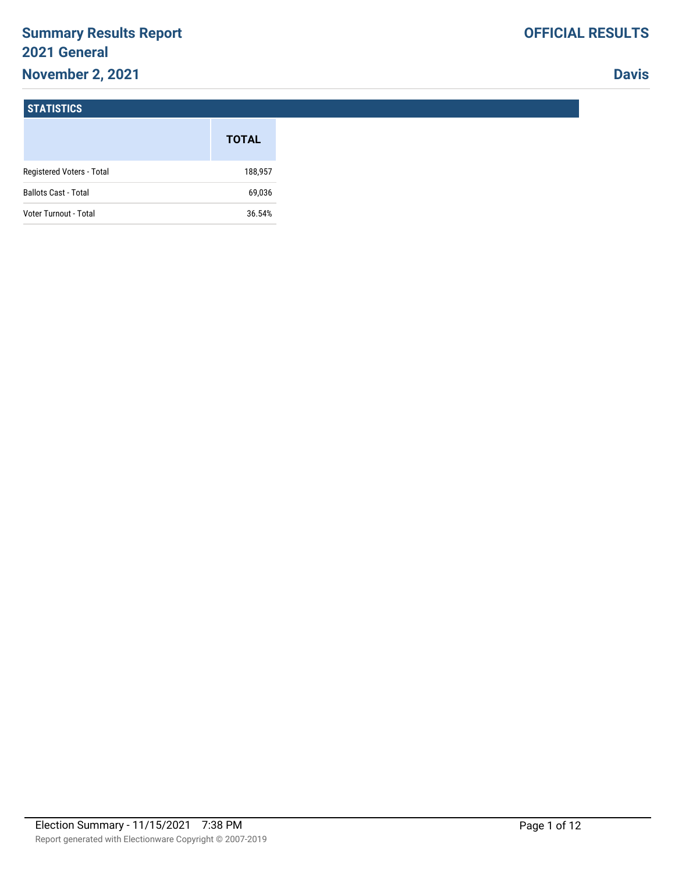# **Summary Results Report 2021 General November 2, 2021**

**Davis**

#### **STATISTICS**

|                             | <b>TOTAL</b> |
|-----------------------------|--------------|
| Registered Voters - Total   | 188,957      |
| <b>Ballots Cast - Total</b> | 69,036       |
| Voter Turnout - Total       | 36.54%       |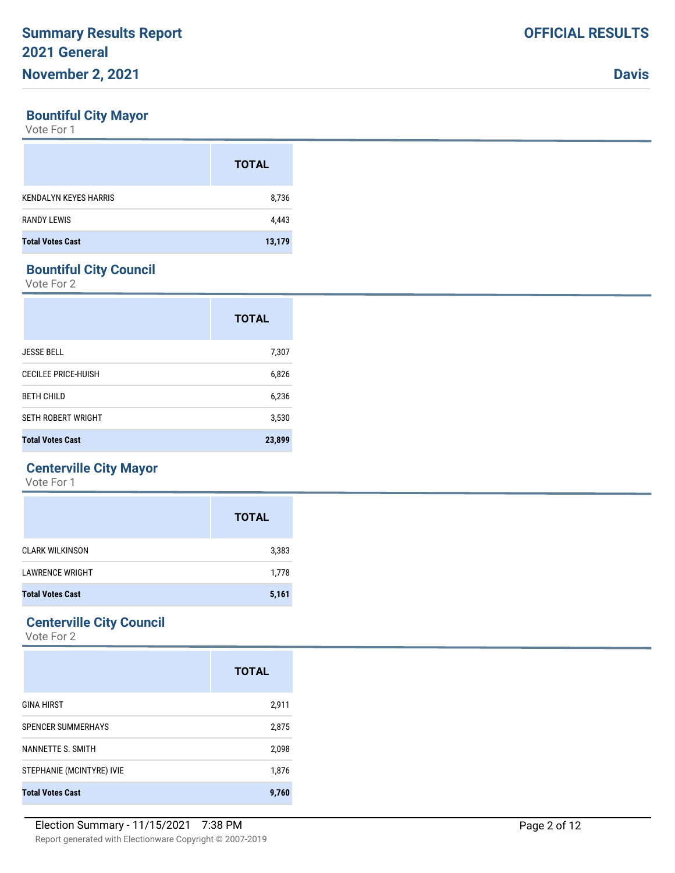### **Bountiful City Mayor**

Vote For 1

|                              | <b>TOTAL</b> |
|------------------------------|--------------|
| <b>KENDALYN KEYES HARRIS</b> | 8,736        |
| <b>RANDY LEWIS</b>           | 4,443        |
| <b>Total Votes Cast</b>      | 13,179       |

# **Bountiful City Council**

Vote For 2

|                            | <b>TOTAL</b> |
|----------------------------|--------------|
| <b>JESSE BELL</b>          | 7,307        |
| <b>CECILEE PRICE-HUISH</b> | 6,826        |
| <b>BETH CHILD</b>          | 6,236        |
| <b>SETH ROBERT WRIGHT</b>  | 3,530        |
| <b>Total Votes Cast</b>    | 23,899       |

## **Centerville City Mayor**

Vote For 1

|                         | <b>TOTAL</b> |
|-------------------------|--------------|
| <b>CLARK WILKINSON</b>  | 3,383        |
| <b>LAWRENCE WRIGHT</b>  | 1,778        |
| <b>Total Votes Cast</b> | 5,161        |

## **Centerville City Council**

|                           | <b>TOTAL</b> |
|---------------------------|--------------|
| <b>GINA HIRST</b>         | 2,911        |
| <b>SPENCER SUMMERHAYS</b> | 2,875        |
| NANNETTE S. SMITH         | 2,098        |
| STEPHANIE (MCINTYRE) IVIE | 1,876        |
| <b>Total Votes Cast</b>   | 9.760        |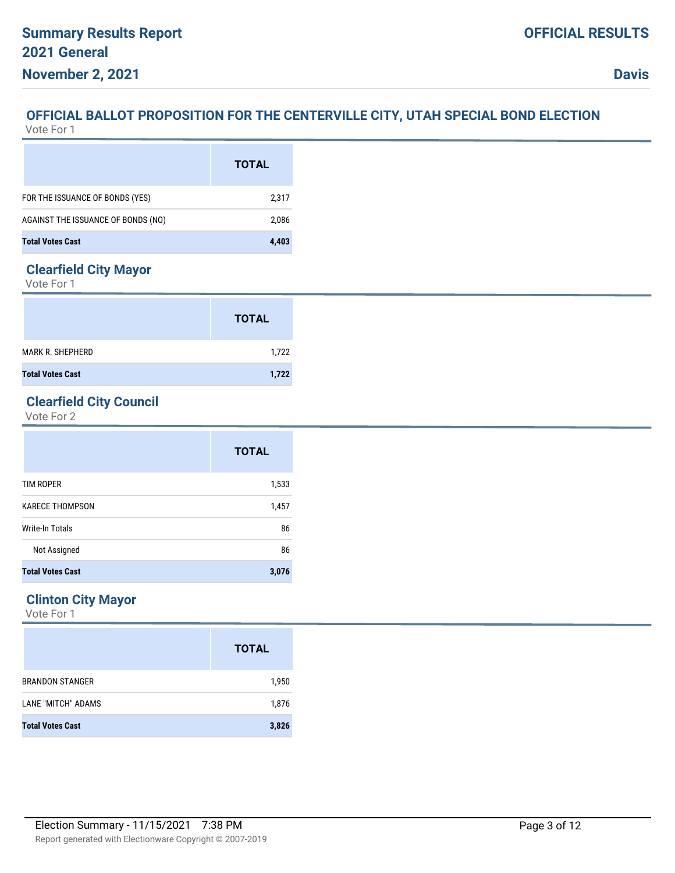#### **OFFICIAL BALLOT PROPOSITION FOR THE CENTERVILLE CITY, UTAH SPECIAL BOND ELECTION** Vote For 1

|                                    | <b>TOTAL</b> |
|------------------------------------|--------------|
| FOR THE ISSUANCE OF BONDS (YES)    | 2,317        |
| AGAINST THE ISSUANCE OF BONDS (NO) | 2,086        |
| <b>Total Votes Cast</b>            | 4.403        |

### **Clearfield City Mayor**

Vote For 1

|                         | <b>TOTAL</b> |
|-------------------------|--------------|
| <b>MARK R. SHEPHERD</b> | 1,722        |
| <b>Total Votes Cast</b> | 1,722        |

# **Clearfield City Council**

Vote For 2

|                         | <b>TOTAL</b> |
|-------------------------|--------------|
| <b>TIM ROPER</b>        | 1,533        |
| <b>KARECE THOMPSON</b>  | 1,457        |
| Write-In Totals         | 86           |
| Not Assigned            | 86           |
| <b>Total Votes Cast</b> | 3,076        |

# **Clinton City Mayor**

|                         | <b>TOTAL</b> |
|-------------------------|--------------|
| <b>BRANDON STANGER</b>  | 1,950        |
| LANE "MITCH" ADAMS      | 1,876        |
| <b>Total Votes Cast</b> | 3,826        |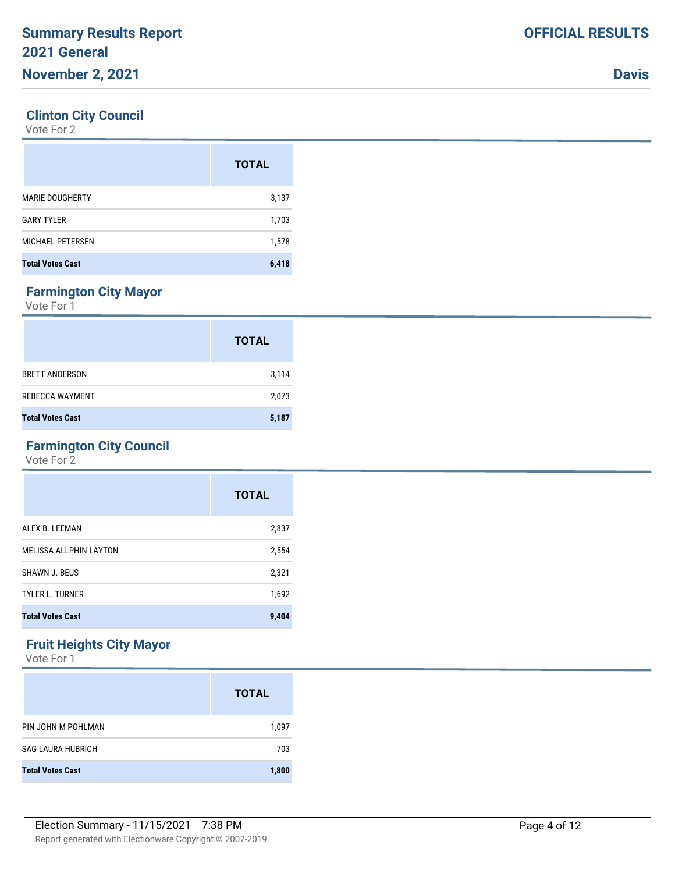### **Clinton City Council**

Vote For 2

|                         | <b>TOTAL</b> |
|-------------------------|--------------|
| <b>MARIE DOUGHERTY</b>  | 3,137        |
| <b>GARY TYLER</b>       | 1,703        |
| <b>MICHAEL PETERSEN</b> | 1,578        |
| <b>Total Votes Cast</b> | 6,418        |

# **Farmington City Mayor**

Vote For 1

|                         | <b>TOTAL</b> |
|-------------------------|--------------|
| <b>BRETT ANDERSON</b>   | 3,114        |
| REBECCA WAYMENT         | 2,073        |
| <b>Total Votes Cast</b> | 5,187        |

# **Farmington City Council**

Vote For 2

|                               | <b>TOTAL</b> |
|-------------------------------|--------------|
| ALEX B. LEEMAN                | 2,837        |
| <b>MELISSA ALLPHIN LAYTON</b> | 2,554        |
| SHAWN J. BEUS                 | 2,321        |
| <b>TYLER L. TURNER</b>        | 1,692        |
| <b>Total Votes Cast</b>       | 9,404        |

# **Fruit Heights City Mayor**

|                          | <b>TOTAL</b> |
|--------------------------|--------------|
| PIN JOHN M POHLMAN       | 1,097        |
| <b>SAG LAURA HUBRICH</b> | 703          |
| <b>Total Votes Cast</b>  | 1,800        |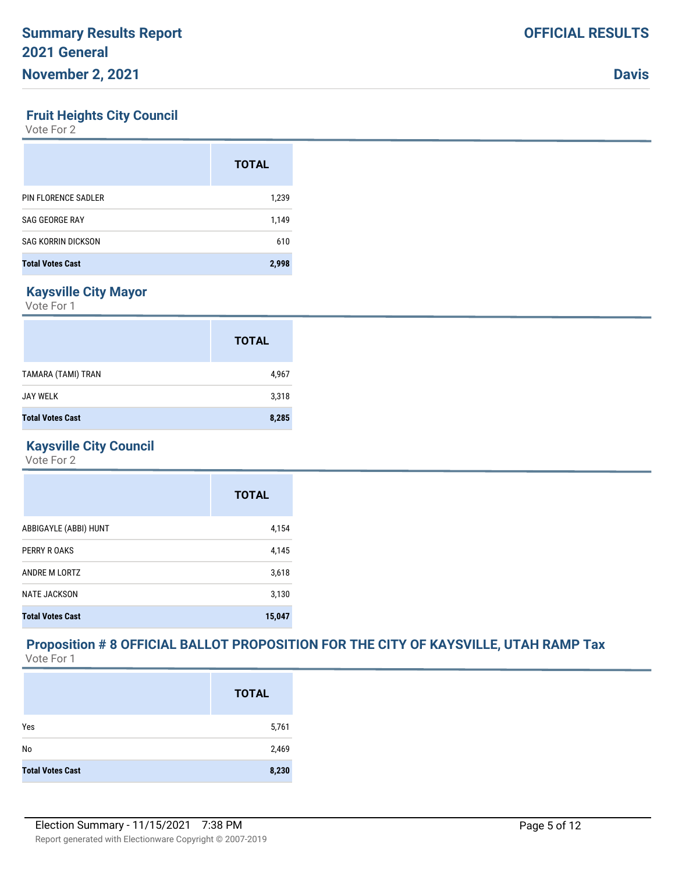#### **Fruit Heights City Council**

Vote For 2

|                           | <b>TOTAL</b> |
|---------------------------|--------------|
| PIN FLORENCE SADLER       | 1,239        |
| SAG GEORGE RAY            | 1,149        |
| <b>SAG KORRIN DICKSON</b> | 610          |
| <b>Total Votes Cast</b>   | 2,998        |

# **Kaysville City Mayor**

Vote For 1

|                         | <b>TOTAL</b> |
|-------------------------|--------------|
| TAMARA (TAMI) TRAN      | 4,967        |
| <b>JAY WELK</b>         | 3,318        |
| <b>Total Votes Cast</b> | 8,285        |

## **Kaysville City Council**

Vote For 2

|                         | <b>TOTAL</b> |
|-------------------------|--------------|
| ABBIGAYLE (ABBI) HUNT   | 4,154        |
| PERRY R OAKS            | 4,145        |
| ANDRE M LORTZ           | 3,618        |
| <b>NATE JACKSON</b>     | 3,130        |
| <b>Total Votes Cast</b> | 15,047       |

### **Proposition # 8 OFFICIAL BALLOT PROPOSITION FOR THE CITY OF KAYSVILLE, UTAH RAMP Tax** Vote For 1

|                         | <b>TOTAL</b> |
|-------------------------|--------------|
| Yes                     | 5,761        |
| No                      | 2,469        |
| <b>Total Votes Cast</b> | 8,230        |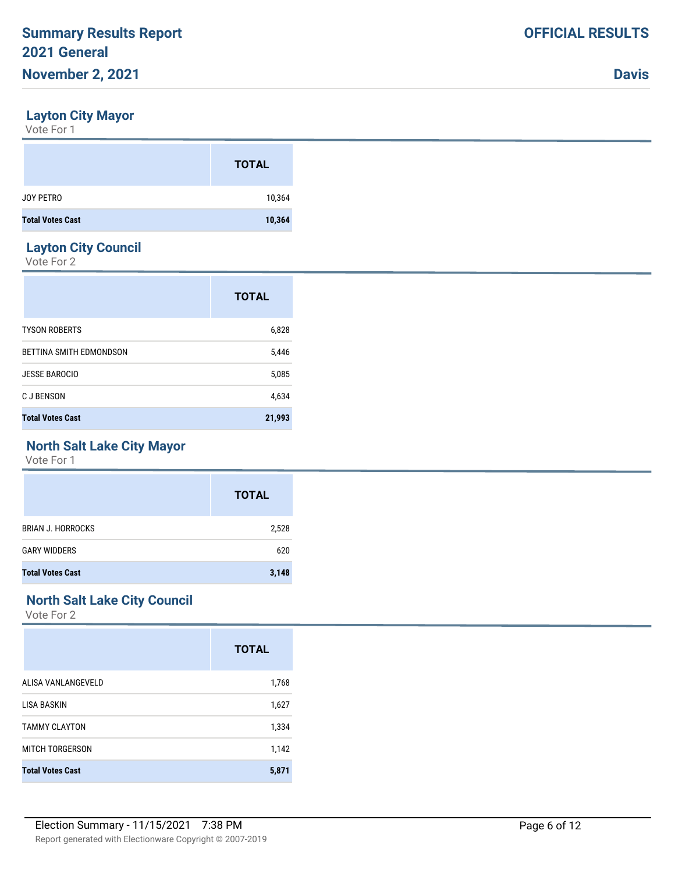#### **Layton City Mayor**

Vote For 1

|                         | <b>TOTAL</b> |
|-------------------------|--------------|
| JOY PETRO               | 10,364       |
| <b>Total Votes Cast</b> | 10,364       |

#### **Layton City Council**

Vote For 2

|                         | <b>TOTAL</b> |
|-------------------------|--------------|
| <b>TYSON ROBERTS</b>    | 6,828        |
| BETTINA SMITH EDMONDSON | 5,446        |
| <b>JESSE BAROCIO</b>    | 5,085        |
| C J BENSON              | 4,634        |
| <b>Total Votes Cast</b> | 21,993       |

#### **North Salt Lake City Mayor**

Vote For 1

|                          | <b>TOTAL</b> |
|--------------------------|--------------|
| <b>BRIAN J. HORROCKS</b> | 2,528        |
| <b>GARY WIDDERS</b>      | 620          |
| <b>Total Votes Cast</b>  | 3,148        |

### **North Salt Lake City Council**

|                         | <b>TOTAL</b> |
|-------------------------|--------------|
| ALISA VANLANGEVELD      | 1,768        |
| LISA BASKIN             | 1,627        |
| <b>TAMMY CLAYTON</b>    | 1,334        |
| MITCH TORGERSON         | 1,142        |
| <b>Total Votes Cast</b> | 5,871        |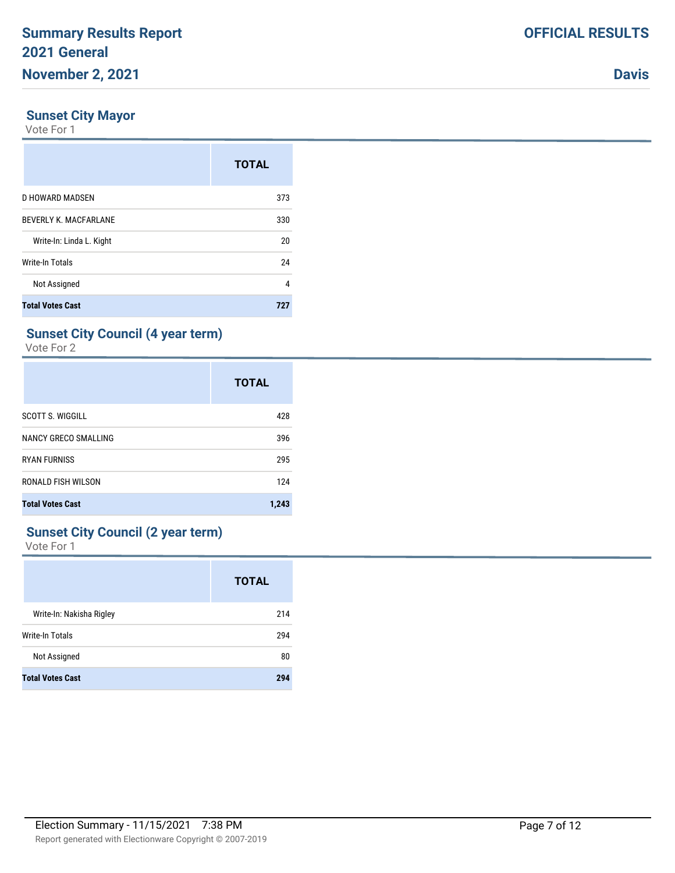#### **Sunset City Mayor**

Vote For 1

|                              | <b>TOTAL</b> |
|------------------------------|--------------|
| D HOWARD MADSEN              | 373          |
| <b>BEVERLY K. MACFARLANE</b> | 330          |
| Write-In: Linda L. Kight     | 20           |
| Write-In Totals              | 24           |
| Not Assigned                 | 4            |
| <b>Total Votes Cast</b>      | 727          |

### **Sunset City Council (4 year term)**

Vote For 2

|                         | <b>TOTAL</b> |
|-------------------------|--------------|
| <b>SCOTT S. WIGGILL</b> | 428          |
| NANCY GRECO SMALLING    | 396          |
| <b>RYAN FURNISS</b>     | 295          |
| RONALD FISH WILSON      | 124          |
| <b>Total Votes Cast</b> | 1,243        |

### **Sunset City Council (2 year term)**

|                          | <b>TOTAL</b> |
|--------------------------|--------------|
| Write-In: Nakisha Rigley | 214          |
| <b>Write-In Totals</b>   | 294          |
| Not Assigned             | 80           |
| <b>Total Votes Cast</b>  | 294          |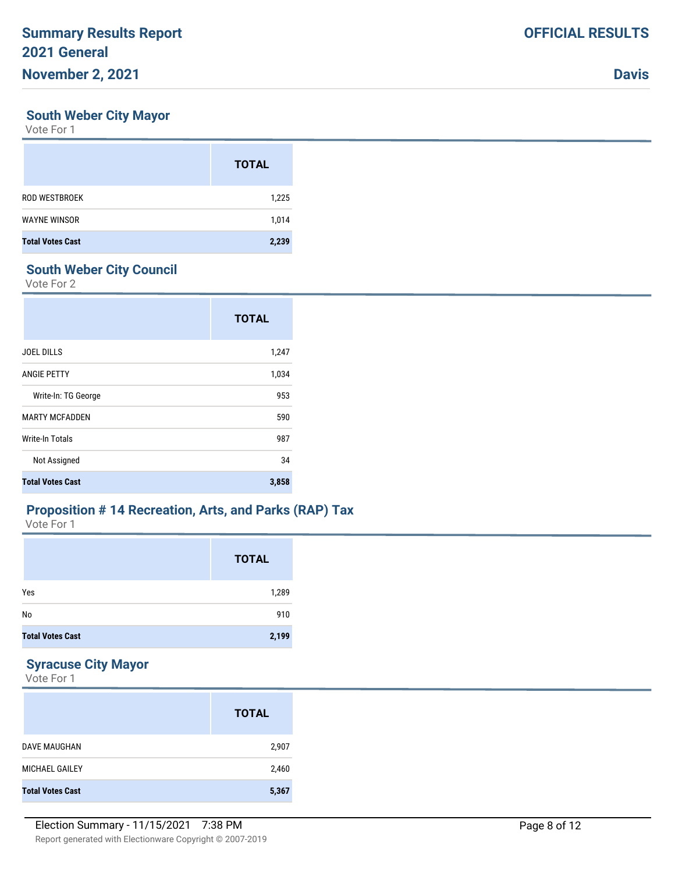#### **South Weber City Mayor**

Vote For 1

|                         | <b>TOTAL</b> |
|-------------------------|--------------|
| <b>ROD WESTBROEK</b>    | 1,225        |
| <b>WAYNE WINSOR</b>     | 1,014        |
| <b>Total Votes Cast</b> | 2,239        |

## **South Weber City Council**

Vote For 2

|                         | <b>TOTAL</b> |
|-------------------------|--------------|
| <b>JOEL DILLS</b>       | 1,247        |
| <b>ANGIE PETTY</b>      | 1,034        |
| Write-In: TG George     | 953          |
| <b>MARTY MCFADDEN</b>   | 590          |
| <b>Write-In Totals</b>  | 987          |
| Not Assigned            | 34           |
| <b>Total Votes Cast</b> | 3,858        |

#### **Proposition # 14 Recreation, Arts, and Parks (RAP) Tax**

Vote For 1

|                         | <b>TOTAL</b> |
|-------------------------|--------------|
| Yes                     | 1,289        |
| No                      | 910          |
| <b>Total Votes Cast</b> | 2,199        |

## **Syracuse City Mayor**

|                         | <b>TOTAL</b> |
|-------------------------|--------------|
| DAVE MAUGHAN            | 2,907        |
| MICHAEL GAILEY          | 2,460        |
| <b>Total Votes Cast</b> | 5,367        |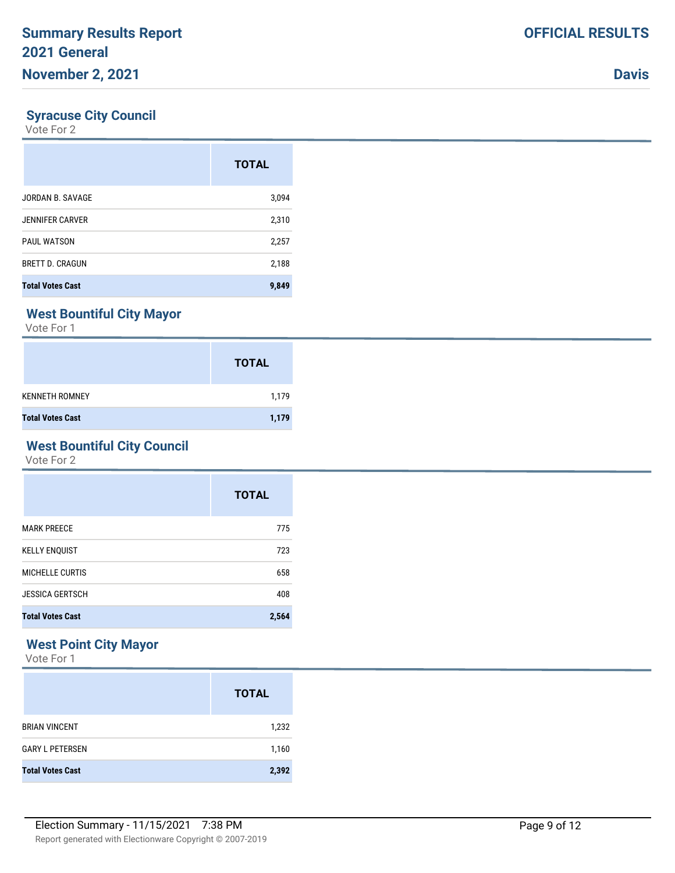### **Syracuse City Council**

Vote For 2

|                         | <b>TOTAL</b> |
|-------------------------|--------------|
| JORDAN B. SAVAGE        | 3,094        |
| <b>JENNIFER CARVER</b>  | 2,310        |
| <b>PAUL WATSON</b>      | 2,257        |
| <b>BRETT D. CRAGUN</b>  | 2,188        |
| <b>Total Votes Cast</b> | 9,849        |

# **West Bountiful City Mayor**

Vote For 1

|                         | <b>TOTAL</b> |
|-------------------------|--------------|
| <b>KENNETH ROMNEY</b>   | 1,179        |
| <b>Total Votes Cast</b> | 1,179        |

# **West Bountiful City Council**

Vote For 2

|                         | <b>TOTAL</b> |
|-------------------------|--------------|
| <b>MARK PREECE</b>      | 775          |
| <b>KELLY ENQUIST</b>    | 723          |
| MICHELLE CURTIS         | 658          |
| <b>JESSICA GERTSCH</b>  | 408          |
| <b>Total Votes Cast</b> | 2,564        |

# **West Point City Mayor**

|                         | <b>TOTAL</b> |
|-------------------------|--------------|
| <b>BRIAN VINCENT</b>    | 1,232        |
| <b>GARY L PETERSEN</b>  | 1,160        |
| <b>Total Votes Cast</b> | 2,392        |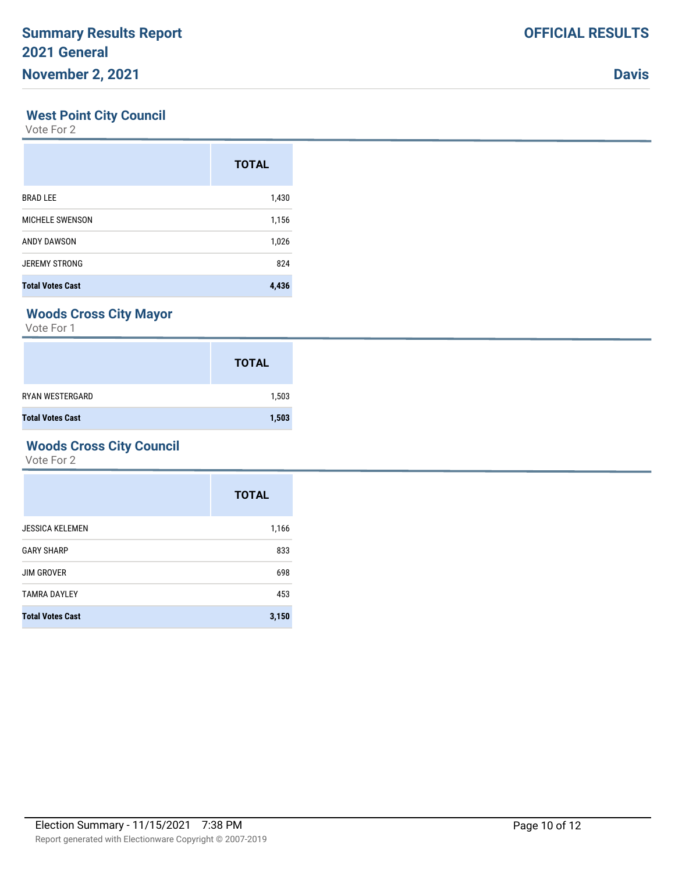#### **West Point City Council**

Vote For 2

|                         | <b>TOTAL</b> |
|-------------------------|--------------|
| <b>BRAD LEE</b>         | 1,430        |
| <b>MICHELE SWENSON</b>  | 1,156        |
| ANDY DAWSON             | 1,026        |
| <b>JEREMY STRONG</b>    | 824          |
| <b>Total Votes Cast</b> | 4,436        |

## **Woods Cross City Mayor**

Vote For 1

|                         | <b>TOTAL</b> |
|-------------------------|--------------|
| <b>RYAN WESTERGARD</b>  | 1,503        |
| <b>Total Votes Cast</b> | 1,503        |

# **Woods Cross City Council**

|                         | <b>TOTAL</b> |
|-------------------------|--------------|
| <b>JESSICA KELEMEN</b>  | 1,166        |
| <b>GARY SHARP</b>       | 833          |
| <b>JIM GROVER</b>       | 698          |
| <b>TAMRA DAYLEY</b>     | 453          |
| <b>Total Votes Cast</b> | 3,150        |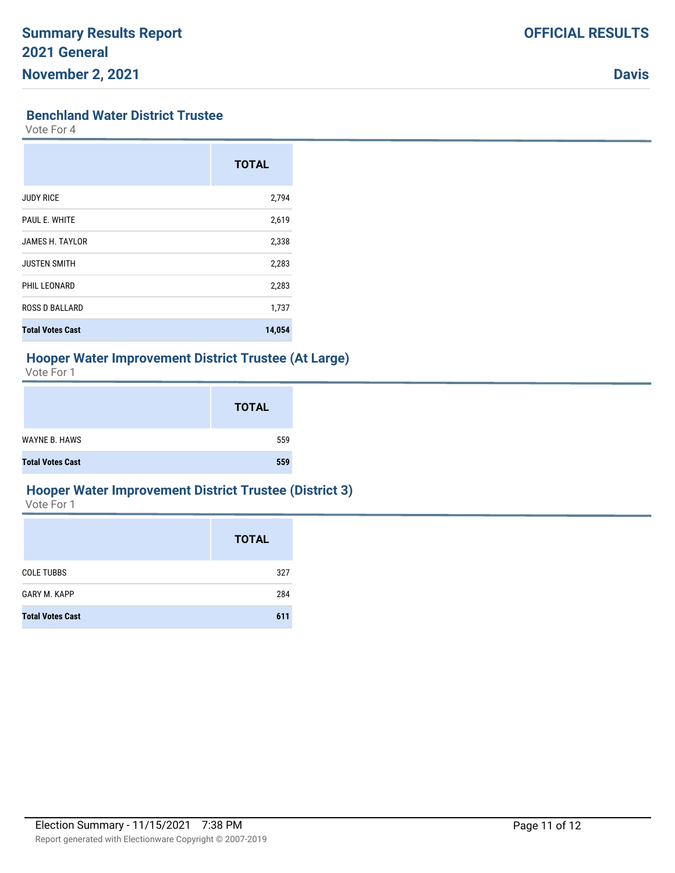#### **Benchland Water District Trustee**

Vote For 4

|                         | <b>TOTAL</b> |
|-------------------------|--------------|
| <b>JUDY RICE</b>        | 2,794        |
| PAUL E. WHITE           | 2,619        |
| JAMES H. TAYLOR         | 2,338        |
| <b>JUSTEN SMITH</b>     | 2,283        |
| PHIL LEONARD            | 2,283        |
| <b>ROSS D BALLARD</b>   | 1,737        |
| <b>Total Votes Cast</b> | 14,054       |

#### **Hooper Water Improvement District Trustee (At Large)**

Vote For 1

|                         | <b>TOTAL</b> |
|-------------------------|--------------|
| <b>WAYNE B. HAWS</b>    | 559          |
| <b>Total Votes Cast</b> | 559          |

#### **Hooper Water Improvement District Trustee (District 3)**

|                         | <b>TOTAL</b> |
|-------------------------|--------------|
| <b>COLE TUBBS</b>       | 327          |
| <b>GARY M. KAPP</b>     | 284          |
| <b>Total Votes Cast</b> | 611          |